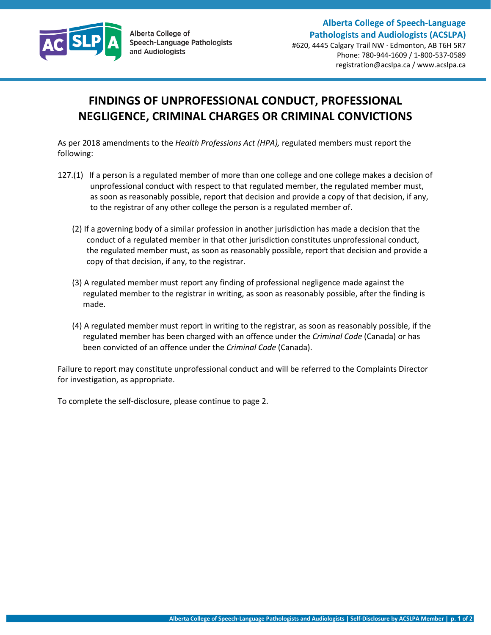

## **FINDINGS OF UNPROFESSIONAL CONDUCT, PROFESSIONAL NEGLIGENCE, CRIMINAL CHARGES OR CRIMINAL CONVICTIONS**

As per 2018 amendments to the *Health Professions Act (HPA),* regulated members must report the following:

- 127.(1) If a person is a regulated member of more than one college and one college makes a decision of unprofessional conduct with respect to that regulated member, the regulated member must, as soon as reasonably possible, report that decision and provide a copy of that decision, if any, to the registrar of any other college the person is a regulated member of.
	- (2) If a governing body of a similar profession in another jurisdiction has made a decision that the conduct of a regulated member in that other jurisdiction constitutes unprofessional conduct, the regulated member must, as soon as reasonably possible, report that decision and provide a copy of that decision, if any, to the registrar.
	- (3) A regulated member must report any finding of professional negligence made against the regulated member to the registrar in writing, as soon as reasonably possible, after the finding is made.
	- (4) A regulated member must report in writing to the registrar, as soon as reasonably possible, if the regulated member has been charged with an offence under the *Criminal Code* (Canada) or has been convicted of an offence under the *Criminal Code* (Canada).

Failure to report may constitute unprofessional conduct and will be referred to the Complaints Director for investigation, as appropriate.

To complete the self-disclosure, please continue to page 2.